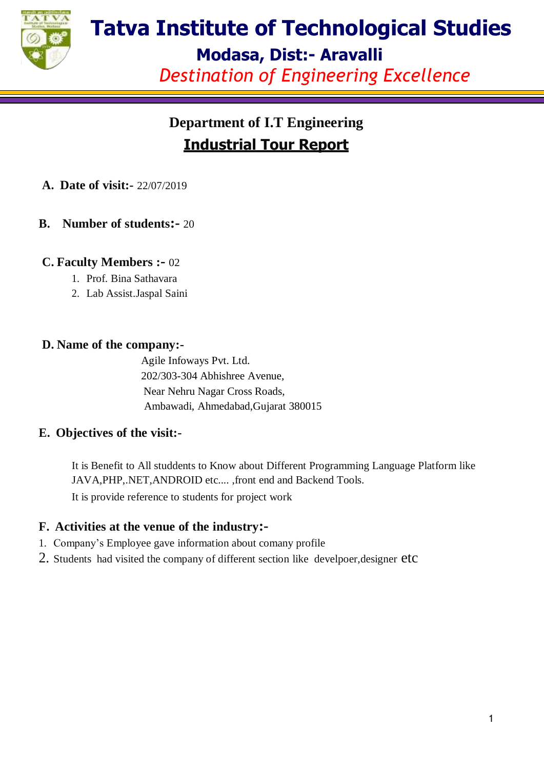

# **Tatva Institute of Technological Studies**

**Modasa, Dist:- Aravalli**

*Destination of Engineering Excellence*

### **Department of I.T Engineering Industrial Tour Report**

- **A. Date of visit:-** 22/07/2019
- **B. Number of students:-** 20

### **C. Faculty Members :-** 02

- 1. Prof. Bina Sathavara
- 2. Lab Assist.Jaspal Saini

### **D. Name of the company:-**

Agile Infoways Pvt. Ltd. 202/303-304 Abhishree Avenue, Near Nehru Nagar Cross Roads, Ambawadi, Ahmedabad,Gujarat 380015

### **E. Objectives of the visit:-**

It is Benefit to All studdents to Know about Different Programming Language Platform like JAVA,PHP,.NET,ANDROID etc.... ,front end and Backend Tools.

It is provide reference to students for project work

### **F. Activities at the venue of the industry:-**

- 1. Company's Employee gave information about comany profile
- 2. Students had visited the company of different section like develpoer,designer etc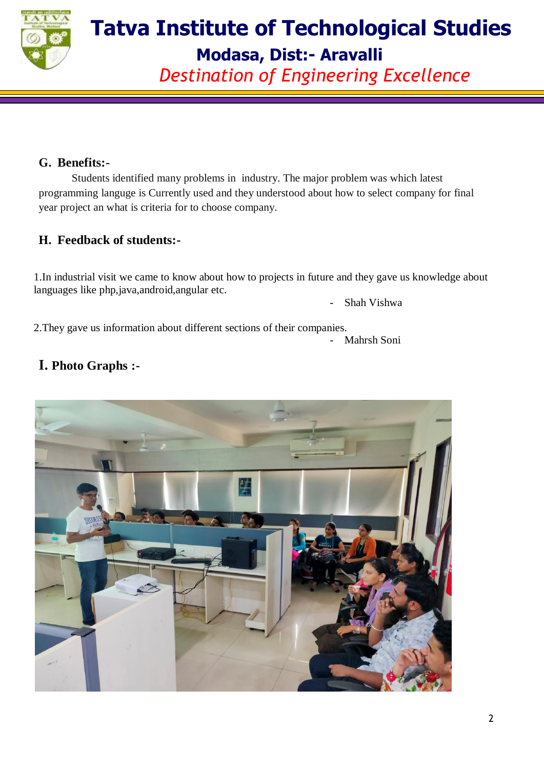

### **Tatva Institute of Technological Studies Modasa, Dist:- Aravalli**

*Destination of Engineering Excellence*

#### **G. Benefits:-**

Students identified many problems in industry. The major problem was which latest programming languge is Currently used and they understood about how to select company for final year project an what is criteria for to choose company.

### **H. Feedback of students:-**

1.In industrial visit we came to know about how to projects in future and they gave us knowledge about languages like php,java,android,angular etc.

- Shah Vishwa

2.They gave us information about different sections of their companies.

- Mahrsh Soni

### **I. Photo Graphs :-**